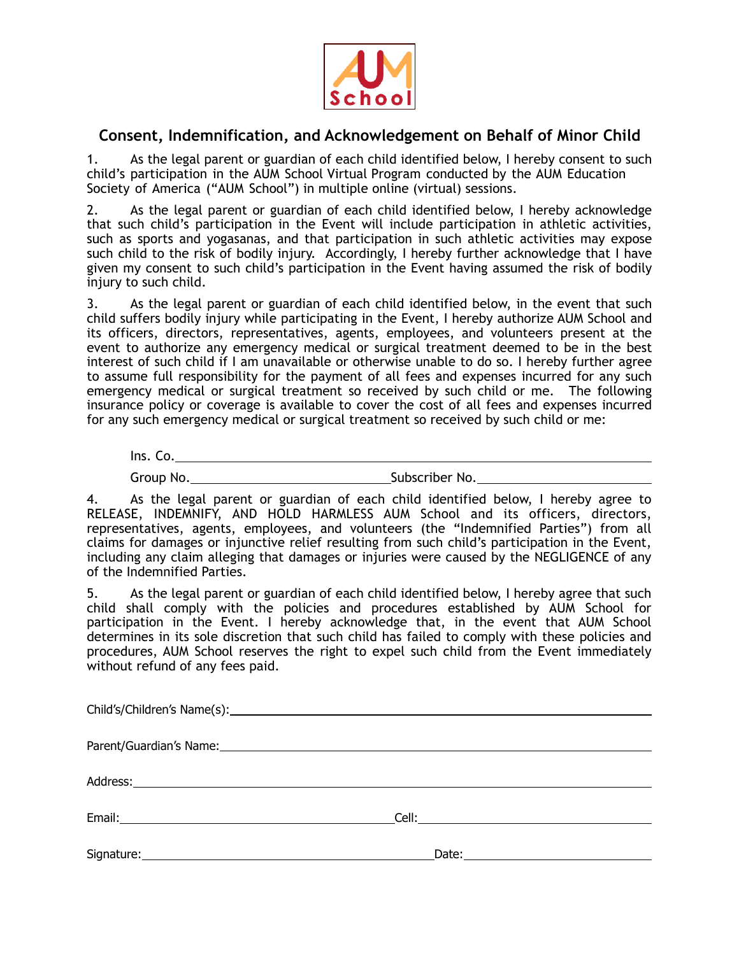

## **Consent, Indemnification, and Acknowledgement on Behalf of Minor Child**

1. As the legal parent or guardian of each child identified below, I hereby consent to such child's participation in the AUM School Virtual Program conducted by the AUM Education Society of America ("AUM School") in multiple online (virtual) sessions.

2. As the legal parent or guardian of each child identified below, I hereby acknowledge that such child's participation in the Event will include participation in athletic activities, such as sports and yogasanas, and that participation in such athletic activities may expose such child to the risk of bodily injury. Accordingly, I hereby further acknowledge that I have given my consent to such child's participation in the Event having assumed the risk of bodily injury to such child.

3. As the legal parent or guardian of each child identified below, in the event that such child suffers bodily injury while participating in the Event, I hereby authorize AUM School and its officers, directors, representatives, agents, employees, and volunteers present at the event to authorize any emergency medical or surgical treatment deemed to be in the best interest of such child if I am unavailable or otherwise unable to do so. I hereby further agree to assume full responsibility for the payment of all fees and expenses incurred for any such emergency medical or surgical treatment so received by such child or me. The following insurance policy or coverage is available to cover the cost of all fees and expenses incurred for any such emergency medical or surgical treatment so received by such child or me:

| Ins. Co.  |                |
|-----------|----------------|
| Group No. | Subscriber No. |

4. As the legal parent or guardian of each child identified below, I hereby agree to RELEASE, INDEMNIFY, AND HOLD HARMLESS AUM School and its officers, directors, representatives, agents, employees, and volunteers (the "Indemnified Parties") from all claims for damages or injunctive relief resulting from such child's participation in the Event, including any claim alleging that damages or injuries were caused by the NEGLIGENCE of any of the Indemnified Parties.

5. As the legal parent or guardian of each child identified below, I hereby agree that such child shall comply with the policies and procedures established by AUM School for participation in the Event. I hereby acknowledge that, in the event that AUM School determines in its sole discretion that such child has failed to comply with these policies and procedures, AUM School reserves the right to expel such child from the Event immediately without refund of any fees paid.